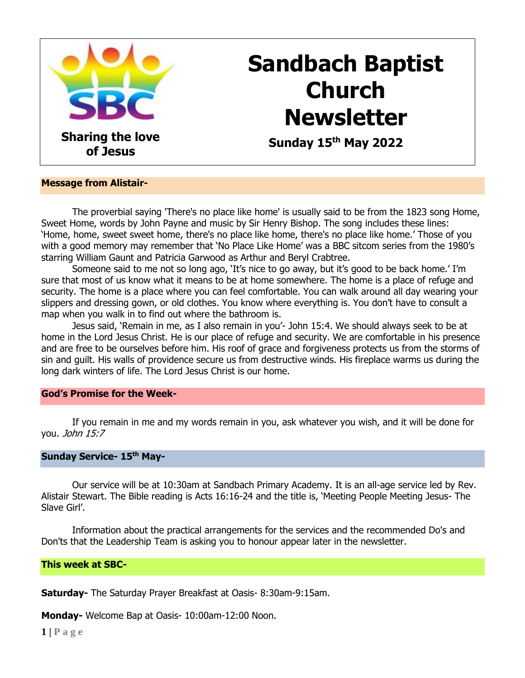

# **Sandbach Baptist Church Newsletter**

 **Sunday 15th May 2022**

#### **Message from Alistair-**

The proverbial saying 'There's no place like home' is usually said to be from the 1823 song Home, Sweet Home, words by John Payne and music by Sir Henry Bishop. The song includes these lines: 'Home, home, sweet sweet home, there's no place like home, there's no place like home.' Those of you with a good memory may remember that 'No Place Like Home' was a BBC sitcom series from the 1980's starring William Gaunt and Patricia Garwood as Arthur and Beryl Crabtree.

Someone said to me not so long ago, 'It's nice to go away, but it's good to be back home.' I'm sure that most of us know what it means to be at home somewhere. The home is a place of refuge and security. The home is a place where you can feel comfortable. You can walk around all day wearing your slippers and dressing gown, or old clothes. You know where everything is. You don't have to consult a map when you walk in to find out where the bathroom is.

Jesus said, 'Remain in me, as I also remain in you'- John 15:4. We should always seek to be at home in the Lord Jesus Christ. He is our place of refuge and security. We are comfortable in his presence and are free to be ourselves before him. His roof of grace and forgiveness protects us from the storms of sin and guilt. His walls of providence secure us from destructive winds. His fireplace warms us during the long dark winters of life. The Lord Jesus Christ is our home.

#### **God's Promise for the Week-**

If you remain in me and my words remain in you, ask whatever you wish, and it will be done for you. John 15:7

### **Sunday Service- 15th May-**

Our service will be at 10:30am at Sandbach Primary Academy. It is an all-age service led by Rev. Alistair Stewart. The Bible reading is Acts 16:16-24 and the title is, 'Meeting People Meeting Jesus- The Slave Girl'.

Information about the practical arrangements for the services and the recommended Do's and Don'ts that the Leadership Team is asking you to honour appear later in the newsletter.

# **This week at SBC-**

**Saturday-** The Saturday Prayer Breakfast at Oasis- 8:30am-9:15am.

**Monday-** Welcome Bap at Oasis- 10:00am-12:00 Noon.

**1 | P a g e**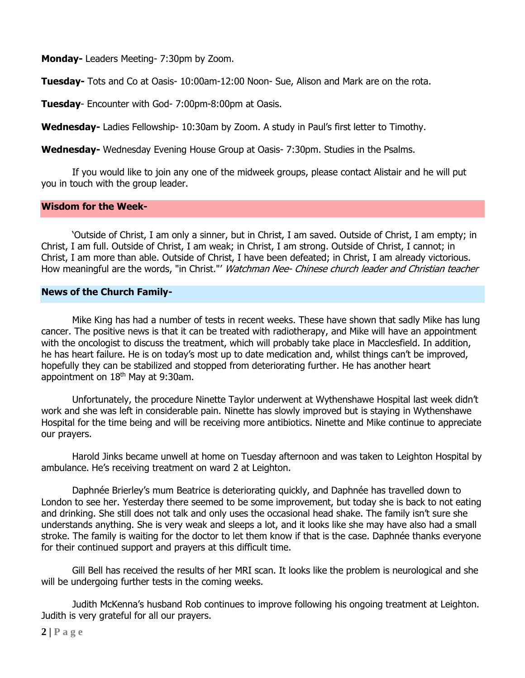**Monday-** Leaders Meeting- 7:30pm by Zoom.

**Tuesday-** Tots and Co at Oasis- 10:00am-12:00 Noon- Sue, Alison and Mark are on the rota.

**Tuesday**- Encounter with God- 7:00pm-8:00pm at Oasis.

**Wednesday-** Ladies Fellowship- 10:30am by Zoom. A study in Paul's first letter to Timothy.

**Wednesday-** Wednesday Evening House Group at Oasis- 7:30pm. Studies in the Psalms.

If you would like to join any one of the midweek groups, please contact Alistair and he will put you in touch with the group leader.

#### **Wisdom for the Week-**

'Outside of Christ, I am only a sinner, but in Christ, I am saved. Outside of Christ, I am empty; in Christ, I am full. Outside of Christ, I am weak; in Christ, I am strong. Outside of Christ, I cannot; in Christ, I am more than able. Outside of Christ, I have been defeated; in Christ, I am already victorious. How meaningful are the words, "in Christ."' Watchman Nee- Chinese church leader and Christian teacher

#### **News of the Church Family-**

Mike King has had a number of tests in recent weeks. These have shown that sadly Mike has lung cancer. The positive news is that it can be treated with radiotherapy, and Mike will have an appointment with the oncologist to discuss the treatment, which will probably take place in Macclesfield. In addition, he has heart failure. He is on today's most up to date medication and, whilst things can't be improved, hopefully they can be stabilized and stopped from deteriorating further. He has another heart appointment on 18<sup>th</sup> May at 9:30am.

Unfortunately, the procedure Ninette Taylor underwent at Wythenshawe Hospital last week didn't work and she was left in considerable pain. Ninette has slowly improved but is staying in Wythenshawe Hospital for the time being and will be receiving more antibiotics. Ninette and Mike continue to appreciate our prayers.

Harold Jinks became unwell at home on Tuesday afternoon and was taken to Leighton Hospital by ambulance. He's receiving treatment on ward 2 at Leighton.

Daphnée Brierley's mum Beatrice is deteriorating quickly, and Daphnée has travelled down to London to see her. Yesterday there seemed to be some improvement, but today she is back to not eating and drinking. She still does not talk and only uses the occasional head shake. The family isn't sure she understands anything. She is very weak and sleeps a lot, and it looks like she may have also had a small stroke. The family is waiting for the doctor to let them know if that is the case. Daphnée thanks everyone for their continued support and prayers at this difficult time.

Gill Bell has received the results of her MRI scan. It looks like the problem is neurological and she will be undergoing further tests in the coming weeks.

Judith McKenna's husband Rob continues to improve following his ongoing treatment at Leighton. Judith is very grateful for all our prayers.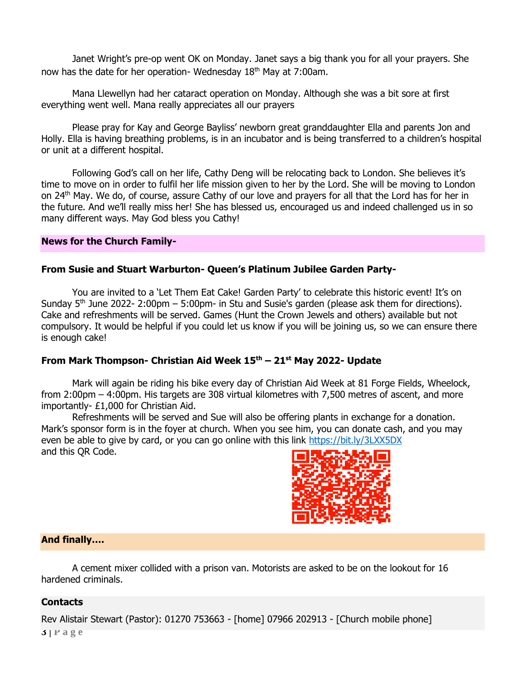Janet Wright's pre-op went OK on Monday. Janet says a big thank you for all your prayers. She now has the date for her operation- Wednesday 18th May at 7:00am.

Mana Llewellyn had her cataract operation on Monday. Although she was a bit sore at first everything went well. Mana really appreciates all our prayers

Please pray for Kay and George Bayliss' newborn great granddaughter Ella and parents Jon and Holly. Ella is having breathing problems, is in an incubator and is being transferred to a children's hospital or unit at a different hospital.

Following God's call on her life, Cathy Deng will be relocating back to London. She believes it's time to move on in order to fulfil her life mission given to her by the Lord. She will be moving to London on 24th May. We do, of course, assure Cathy of our love and prayers for all that the Lord has for her in the future. And we'll really miss her! She has blessed us, encouraged us and indeed challenged us in so many different ways. May God bless you Cathy!

#### **News for the Church Family-**

# **From Susie and Stuart Warburton- Queen's Platinum Jubilee Garden Party-**

You are invited to a 'Let Them Eat Cake! Garden Party' to celebrate this historic event! It's on Sunday  $5<sup>th</sup>$  June 2022- 2:00pm – 5:00pm- in Stu and Susie's garden (please ask them for directions). Cake and refreshments will be served. Games (Hunt the Crown Jewels and others) available but not compulsory. It would be helpful if you could let us know if you will be joining us, so we can ensure there is enough cake!

# **From Mark Thompson- Christian Aid Week 15th – 21st May 2022- Update**

Mark will again be riding his bike every day of Christian Aid Week at 81 Forge Fields, Wheelock, from 2:00pm – 4:00pm. His targets are 308 virtual kilometres with 7,500 metres of ascent, and more importantly- £1,000 for Christian Aid.

Refreshments will be served and Sue will also be offering plants in exchange for a donation. Mark's sponsor form is in the foyer at church. When you see him, you can donate cash, and you may even be able to give by card, or you can go online with this link<https://bit.ly/3LXX5DX> and this QR Code.



#### **And finally….**

A cement mixer collided with a prison van. Motorists are asked to be on the lookout for 16 hardened criminals.

#### **Contacts**

**3 | P a g e** Rev Alistair Stewart (Pastor): 01270 753663 - [home] 07966 202913 - [Church mobile phone]